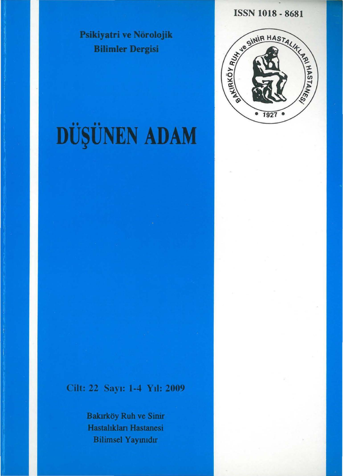Psikiyatri ve Nörolojik **Bilimler Dergisi** 

**ISSN 1018 - 8681** 

SEARCH AND REALIST OF BRIDGE

1927

# DÜŞÜNEN ADAM

### Cilt: 22 Sayı: 1-4 Yıl: 2009

Bakırköy Ruh ve Sinir Hastalıkları Hastanesi **Bilimsel Yayınıdır**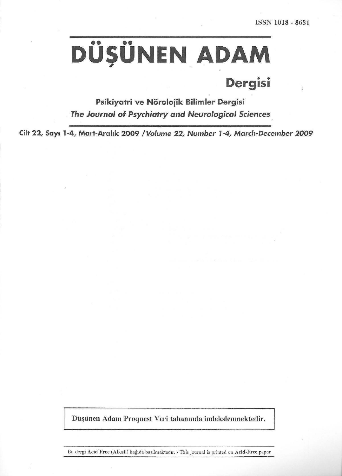# $\overline{D}$ ÜŞÜNEN ADAM

## **Dergisi**

Psikiyatri ve Nörolojik Bilimler Dergisi *The Journal of Psychiatry and Neurological Sciences* .

**Cilt 22, Say• 1·4, Mart-Arahk 2009 /Volume 22, Number 1-4, March-December 2009** 

Düşünen Adam Proquest Veri tabanında indekslenmektedir.

Bu dergi Acid Free (Alkali) kağıda basılmaktadır. / This journal is printed on Acid-Free paper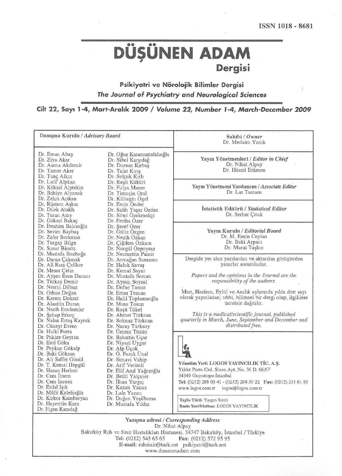# DÜŞÜNEN ADAM **Dergisi**

#### Psikiyatri ve Nörolojik Bilimler Dergisi *The Journal of Psychiatry and Neurological Sciences*

Cilt 22, Say• 1-4, Mart-Arahk 2009 I *Volume 22, Number* J -4, *March-December 2009* 

| Danışma Kurulu / Advisory Board                                                                                                                                                                                                                                                                                                                                                                                                                                                                                                                                |                                                                                                                                                                                                                                                                                                                                                                                                                                                      | Sahibi / Owner<br>Dr. Medaim Yanık                                                                                                                                                                                                                                                                  |
|----------------------------------------------------------------------------------------------------------------------------------------------------------------------------------------------------------------------------------------------------------------------------------------------------------------------------------------------------------------------------------------------------------------------------------------------------------------------------------------------------------------------------------------------------------------|------------------------------------------------------------------------------------------------------------------------------------------------------------------------------------------------------------------------------------------------------------------------------------------------------------------------------------------------------------------------------------------------------------------------------------------------------|-----------------------------------------------------------------------------------------------------------------------------------------------------------------------------------------------------------------------------------------------------------------------------------------------------|
| Dr. Ercan Abay<br>Dr. Ziya Akar<br>Dr. Asena Akdemir<br>Dr. Tamer Aker<br>Dr. Tunç Alkın                                                                                                                                                                                                                                                                                                                                                                                                                                                                       | Dr. Oğuz Karamustafalıoğlu<br>Dr. Sibel Karşıdağ<br>Dr. Dursun Kırbaş<br>Dr. Talat Kırış<br>Dr. Selçuk Kırlı<br>Dr. Reşit Kükürt<br>Dr. Fulya Maner<br>Dr. Timuçin Oral<br>Dr. Kültegin Ögel<br>Dr. Emin Onder<br>Dr. Salih Yaşar Özden<br>Dr. Sibel Ozekmekçi<br>Dr. Feriha Ozer<br>Dr. Şeref Özer<br>Dr. Güliz Özgen<br>Dr. Nezih Özkan<br>Dr. Çiğdem Özkara<br>Dr. Nurgül Özpoyraz<br>Dr. Necmettin Pamir                                         | Yayın Yönetmenleri / Editor in Chief<br>Dr. Nihat Alpay<br>Dr. Hüsnü Erkmen                                                                                                                                                                                                                         |
| Dr. Latif Alpkan<br>Dr. Köksal Alptekin<br>Dr. Behiye Alyanak<br>Dr. Zehra Arıkan                                                                                                                                                                                                                                                                                                                                                                                                                                                                              |                                                                                                                                                                                                                                                                                                                                                                                                                                                      | Yayın Yönetmeni Yardımcısı / Associate Editor<br>Dr. Lut Tamam                                                                                                                                                                                                                                      |
| Dr. Rüstem Aşkın<br>Dr. Dilek Ataklı<br>Dr. Turan Atay<br>Dr. Göksel Bakaç                                                                                                                                                                                                                                                                                                                                                                                                                                                                                     |                                                                                                                                                                                                                                                                                                                                                                                                                                                      | Istatistik Editörü / Statistical Editor<br>Dr. Serhat Çıtak                                                                                                                                                                                                                                         |
| Dr. İbrahim Balcıoğlu<br>Dr. Sevim Baybaş<br>Dr. Zafer Berkman<br>Dr. Turgay Bilge<br>Dr. Sunar Birsöz<br>Dr. Mustafa Bozboğa                                                                                                                                                                                                                                                                                                                                                                                                                                  |                                                                                                                                                                                                                                                                                                                                                                                                                                                      | Yayın Kurulu / Editorial Board<br>Dr. M. Emin Ceylan<br>Dr. Baki Arpacı<br>Dr. Murat Taşkın                                                                                                                                                                                                         |
| Dr. Duran Çakmak<br>Dr. Armağan Samancı<br>Dr. Ali Rıza Çeliker<br>Dr. Haluk Savaş<br>Dr. Mesut Çetin<br>Dr. Kemal Sayar<br>Dr. Ayşen Esen Danacı<br>Dr. Mustafa Sercan<br>Dr. Türkay Demir<br>Dr. Aysun Soysal<br>Dr. Nesrin Dilbaz<br>Dr. Defne Tamar<br>Dr. Orhan Doğan<br>Dr. Ertan Tezcan<br>Dr. Kerem Doksat<br>Dr. Halil Toplamaoğlu<br>Dr. Alaattin Duran<br>Dr. Musa Tosun<br>Dr. Nezih Eradamlar<br>Dr. Raşit Tükel<br>Dr. Sahap Erkoç<br>Dr. Ahmet Türkcan<br>Dr. Nalan Ertaş Kayrak<br>Dr. Solmaz Türkcan<br>Dr. Cüneyt Evren<br>Dr. Nuray Türksoy | Dergide yer alan yazılardan ve aktarılan görüşlerden<br>yazarlar sorumludur.<br>Papers and the opinions in the Journal are the<br>responsibility of the authors.<br>Mart, Haziran, Eylül ve Aralık aylarında yılda dört sayı<br>olarak yayınlanan; tıbbi, bilimsel bir dergi olup, ilgililere<br>ücretsiz dağıtılır.<br>This is a medical/scientific journal, published<br>quarterly in March, June, September and December and<br>distributed free. |                                                                                                                                                                                                                                                                                                     |
| Dr. Hulki Forta<br>Dr. Pakize Geyran<br>Dr. Erol Göka<br>Dr. Peykan Gökalp<br>Dr. Baki Göksan<br>Dr. Ali Saffet Gönül<br>Dr. T. Kemal Hepgül<br>Dr. Hasan Herken<br>Dr. Cem Ilnem<br>Dr. Cem Incesu<br>Dr. Erdal Işık<br>Dr. Müfit Kalelioğlu<br>Dr. Kirkor Kamberyan<br>Dr. Hayrettin Kara<br>Dr. Figen Karadağ                                                                                                                                                                                                                                               | Dr. Umran Tüzün<br>Dr. Bahattin Uçar<br>Dr. Niyazi Uygur<br>Dr. Alp Üçok<br>Dr. Ö. Faruk Ünal<br>Dr. Simavi Vahip<br>Dr. Arif Verimli<br>Dr. Elif Anıl Yağcıoğlu<br>Dr. Betül Yalçıner<br>Dr. İlhan Yargıç<br>Dr. Kazım Yazıcı<br>Dr. Lale Yazıcı<br>Dr. Doğan Yeşilbursa<br>Dr. Mustafa Yıldız                                                                                                                                                      | Yönetim Yeri: LOGOS YAYINCILIK TİC. A.Ş.<br>Yıldız Posta Cad. Sinan Apt. No. 36 D. 66/67<br>34349 Gayrettepe-Istanbul<br>Tel: (0212) 288 05 41 - (0212) 288 50 22  Fax: (0212) 211 61 85<br>www.logos.com.tr logos@logos.com.tr<br>YayIn Türü: Yaygın Süreli<br>Baskı Yeri/Matbaa: LOGOS YAYINCILIK |
| Yazışma adresi / Corresponding Address<br>Dr. Nihat Alpay<br>Bakırköv Ruh ve Sinir Hastalıkları Hastanesi, 34747 Rakırköv, İstanbul / Türkiye                                                                                                                                                                                                                                                                                                                                                                                                                  |                                                                                                                                                                                                                                                                                                                                                                                                                                                      |                                                                                                                                                                                                                                                                                                     |

Bakırköy Ruh ve Sinir Hastalıkları Hastanesi, 34747 Bakırköy, İstanbul / Türkiye Tel: (0212) 543 65 65 Fax: (0212) 572 95 95 E-mail: ruhsinir@turk.net psikiyatri@turk.net www.dusunenadam.com